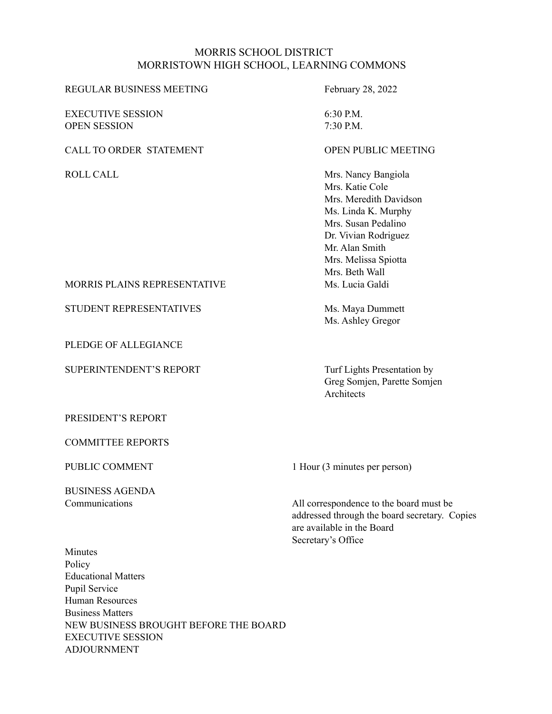#### MORRIS SCHOOL DISTRICT MORRISTOWN HIGH SCHOOL, LEARNING COMMONS

| REGULAR BUSINESS MEETING            | February 28, 2022      |
|-------------------------------------|------------------------|
| <b>EXECUTIVE SESSION</b>            | $6:30$ P.M.            |
| <b>OPEN SESSION</b>                 | 7:30 P.M.              |
| <b>CALL TO ORDER STATEMENT</b>      | OPEN PUBLIC MEETING    |
| ROLL CALL                           | Mrs. Nancy Bangiola    |
|                                     | Mrs. Katie Cole        |
|                                     | Mrs. Meredith Davidson |
|                                     | Ms. Linda K. Murphy    |
|                                     | Mrs. Susan Pedalino    |
|                                     | Dr. Vivian Rodriguez   |
|                                     | Mr Alan Smith          |
|                                     | Mrs. Melissa Spiotta   |
|                                     | Mrs. Beth Wall         |
| <b>MORRIS PLAINS REPRESENTATIVE</b> | Ms. Lucia Galdi        |

STUDENT REPRESENTATIVES Ms. Maya Dummett Ms. Ashley Gregor

SUPERINTENDENT'S REPORT Turf Lights Presentation by Greg Somjen, Parette Somjen **Architects** 

PRESIDENT'S REPORT

PLEDGE OF ALLEGIANCE

COMMITTEE REPORTS

BUSINESS AGENDA

PUBLIC COMMENT 1 Hour (3 minutes per person)

Communications All correspondence to the board must be addressed through the board secretary. Copies are available in the Board Secretary's Office

Minutes Policy Educational Matters Pupil Service Human Resources Business Matters NEW BUSINESS BROUGHT BEFORE THE BOARD EXECUTIVE SESSION ADJOURNMENT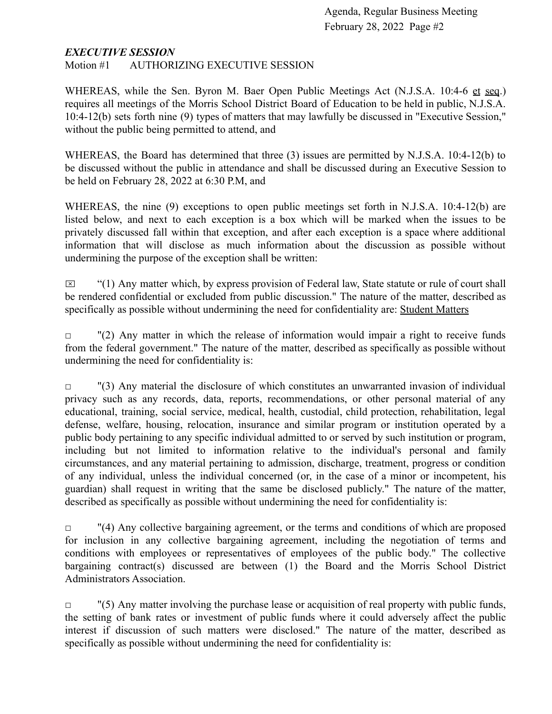### *EXECUTIVE SESSION*

Motion #1 AUTHORIZING EXECUTIVE SESSION

WHEREAS, while the Sen. Byron M. Baer Open Public Meetings Act (N.J.S.A. 10:4-6 et seq.) requires all meetings of the Morris School District Board of Education to be held in public, N.J.S.A. 10:4-12(b) sets forth nine (9) types of matters that may lawfully be discussed in "Executive Session," without the public being permitted to attend, and

WHEREAS, the Board has determined that three (3) issues are permitted by N.J.S.A. 10:4-12(b) to be discussed without the public in attendance and shall be discussed during an Executive Session to be held on February 28, 2022 at 6:30 P.M, and

WHEREAS, the nine (9) exceptions to open public meetings set forth in N.J.S.A. 10:4-12(b) are listed below, and next to each exception is a box which will be marked when the issues to be privately discussed fall within that exception, and after each exception is a space where additional information that will disclose as much information about the discussion as possible without undermining the purpose of the exception shall be written:

 $\boxtimes$  "(1) Any matter which, by express provision of Federal law, State statute or rule of court shall be rendered confidential or excluded from public discussion." The nature of the matter, described as specifically as possible without undermining the need for confidentiality are: Student Matters

 $\Box$  "(2) Any matter in which the release of information would impair a right to receive funds from the federal government." The nature of the matter, described as specifically as possible without undermining the need for confidentiality is:

 $\Box$  "(3) Any material the disclosure of which constitutes an unwarranted invasion of individual privacy such as any records, data, reports, recommendations, or other personal material of any educational, training, social service, medical, health, custodial, child protection, rehabilitation, legal defense, welfare, housing, relocation, insurance and similar program or institution operated by a public body pertaining to any specific individual admitted to or served by such institution or program, including but not limited to information relative to the individual's personal and family circumstances, and any material pertaining to admission, discharge, treatment, progress or condition of any individual, unless the individual concerned (or, in the case of a minor or incompetent, his guardian) shall request in writing that the same be disclosed publicly." The nature of the matter, described as specifically as possible without undermining the need for confidentiality is:

 $\Box$  "(4) Any collective bargaining agreement, or the terms and conditions of which are proposed for inclusion in any collective bargaining agreement, including the negotiation of terms and conditions with employees or representatives of employees of the public body." The collective bargaining contract(s) discussed are between (1) the Board and the Morris School District Administrators Association.

 $\Box$  "(5) Any matter involving the purchase lease or acquisition of real property with public funds, the setting of bank rates or investment of public funds where it could adversely affect the public interest if discussion of such matters were disclosed." The nature of the matter, described as specifically as possible without undermining the need for confidentiality is: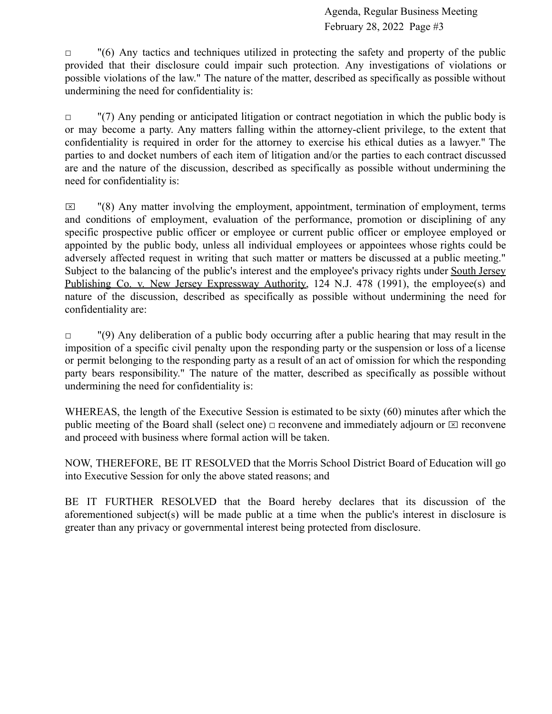$\Box$  "(6) Any tactics and techniques utilized in protecting the safety and property of the public provided that their disclosure could impair such protection. Any investigations of violations or possible violations of the law." The nature of the matter, described as specifically as possible without undermining the need for confidentiality is:

 $\Box$  "(7) Any pending or anticipated litigation or contract negotiation in which the public body is or may become a party. Any matters falling within the attorney-client privilege, to the extent that confidentiality is required in order for the attorney to exercise his ethical duties as a lawyer." The parties to and docket numbers of each item of litigation and/or the parties to each contract discussed are and the nature of the discussion, described as specifically as possible without undermining the need for confidentiality is:

 $\boxtimes$  "(8) Any matter involving the employment, appointment, termination of employment, terms and conditions of employment, evaluation of the performance, promotion or disciplining of any specific prospective public officer or employee or current public officer or employee employed or appointed by the public body, unless all individual employees or appointees whose rights could be adversely affected request in writing that such matter or matters be discussed at a public meeting." Subject to the balancing of the public's interest and the employee's privacy rights under South Jersey Publishing Co. v. New Jersey Expressway Authority, 124 N.J. 478 (1991), the employee(s) and nature of the discussion, described as specifically as possible without undermining the need for confidentiality are:

 $\Box$  "(9) Any deliberation of a public body occurring after a public hearing that may result in the imposition of a specific civil penalty upon the responding party or the suspension or loss of a license or permit belonging to the responding party as a result of an act of omission for which the responding party bears responsibility." The nature of the matter, described as specifically as possible without undermining the need for confidentiality is:

WHEREAS, the length of the Executive Session is estimated to be sixty (60) minutes after which the public meeting of the Board shall (select one)  $\Box$  reconvene and immediately adjourn or  $\Box$  reconvene and proceed with business where formal action will be taken.

NOW, THEREFORE, BE IT RESOLVED that the Morris School District Board of Education will go into Executive Session for only the above stated reasons; and

BE IT FURTHER RESOLVED that the Board hereby declares that its discussion of the aforementioned subject(s) will be made public at a time when the public's interest in disclosure is greater than any privacy or governmental interest being protected from disclosure.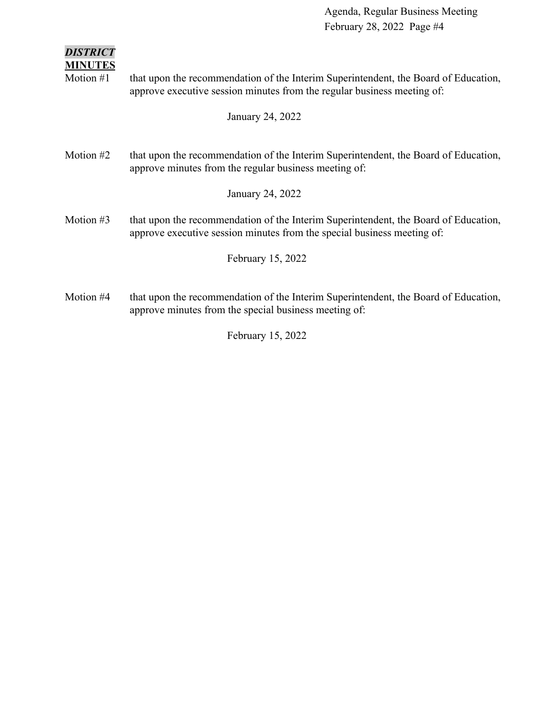| <b>DISTRICT</b><br><b>MINUTES</b><br>Motion #1 | that upon the recommendation of the Interim Superintendent, the Board of Education,<br>approve executive session minutes from the regular business meeting of:<br>January 24, 2022 |
|------------------------------------------------|------------------------------------------------------------------------------------------------------------------------------------------------------------------------------------|
| Motion #2                                      | that upon the recommendation of the Interim Superintendent, the Board of Education,<br>approve minutes from the regular business meeting of:                                       |
|                                                | January 24, 2022                                                                                                                                                                   |
| Motion $#3$                                    | that upon the recommendation of the Interim Superintendent, the Board of Education,<br>approve executive session minutes from the special business meeting of:                     |
|                                                | February 15, 2022                                                                                                                                                                  |
| Motion #4                                      | that upon the recommendation of the Interim Superintendent, the Board of Education,<br>approve minutes from the special business meeting of:                                       |

February 15, 2022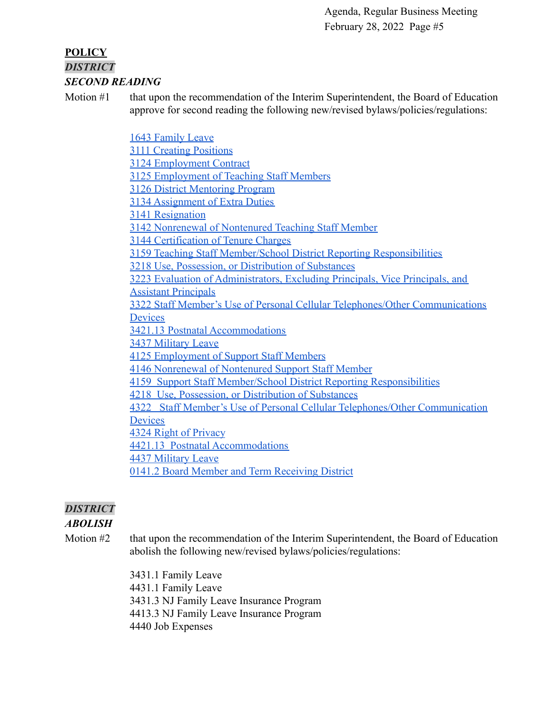### **POLICY** *DISTRICT SECOND READING*

Motion #1 that upon the recommendation of the Interim Superintendent, the Board of Education approve for second reading the following new/revised bylaws/policies/regulations:

> [1643 Family Leave](https://drive.google.com/file/d/1LHz-nEfzHSH5LXCK7KHoqgJX8MSKJnSC/view?usp=sharing) [3111 Creating Positions](https://drive.google.com/file/d/1aQfUbxqomuRTgzwQY_IvcX3Ke6Q-2Jqn/view?usp=sharing) [3124 Employment Contract](https://drive.google.com/file/d/1Be3-aH1RnG6NR6hN9YKDZjEPkPn-zjQ8/view?usp=sharing) [3125 Employment of Teaching Staff Members](https://drive.google.com/file/d/1ToeTHDQop9eg27QiSo84l7nqTpn6oWPG/view?usp=sharing) [3126 District Mentoring Program](https://drive.google.com/file/d/123G8zV0x1YVXwlizvgTtrj0-raCCb32i/view?usp=sharing) [3134 Assignment of Extra Duties](https://drive.google.com/file/d/16J9DA_KbQ6pWe-0fZpyy2HLDzGf7m703/view?usp=sharing) [3141 Resignation](https://drive.google.com/file/d/1JcTOVmeooXK3K6b2ge4XENZvmJz4efw-/view?usp=sharing) [3142 Nonrenewal of Nontenured Teaching Staff Member](https://drive.google.com/file/d/11p3xlSrw2sJURi61reiKJ947bpBX1WTn/view?usp=sharing) [3144 Certification of Tenure Charges](https://drive.google.com/file/d/1tiVzfVf4CGe720QID-kDxnDWSI0VXStA/view?usp=sharing) [3159 Teaching Staff Member/School District Reporting Responsibilities](https://drive.google.com/file/d/1TMuNG_PoptC4Zj0q1Q6kt5X4a_2xMv1_/view?usp=sharing) [3218 Use, Possession, or Distribution of Substances](https://drive.google.com/file/d/1BnCMSTizTf25vsKfzo7CW2CqsQmDa5nF/view?usp=sharing) [3223 Evaluation of Administrators, Excluding Principals, Vice Principals, and](https://drive.google.com/file/d/1X7Ggs35fdgRfcPBNOKuh74rXvMikTOsJ/view?usp=sharing) [Assistant Principals](https://drive.google.com/file/d/1X7Ggs35fdgRfcPBNOKuh74rXvMikTOsJ/view?usp=sharing) [3322 Staff Member's Use of Personal Cellular Telephones/Other Communications](https://drive.google.com/file/d/1Y-QuWxnYg9AFxBPlbSygjqJzS5CP-JlO/view?usp=sharing) **[Devices](https://drive.google.com/file/d/1Y-QuWxnYg9AFxBPlbSygjqJzS5CP-JlO/view?usp=sharing)** [3421.13 Postnatal Accommodations](https://drive.google.com/file/d/126rfz085QivyWxAO1bz_edY2jnAqwvPP/view?usp=sharing) [3437 Military Leave](https://drive.google.com/file/d/1cKF7wMZM4dxErAfMidQVe8-rTJYWXLto/view?usp=sharing) [4125 Employment of Support Staff Members](https://drive.google.com/file/d/1Q3qRjtdJDRfgHf1gjotAQ8QwjZU177Vb/view?usp=sharing) [4146 Nonrenewal of Nontenured Support Staff Member](https://drive.google.com/file/d/1uF0e_Y0w2c6DKNJEGKxjAefqEQgTIXYw/view?usp=sharing) [4159 Support Staff Member/School District Reporting Responsibilities](https://drive.google.com/file/d/1SivGwojSk9ENuJzcw_5DYeUoMcUDwBlZ/view?usp=sharing) [4218 Use, Possession, or Distribution of Substances](https://drive.google.com/file/d/1t55hnBoOZOnQCvSEGx--GxIBX1GzmPti/view?usp=sharing) [4322 Staff Member's Use of Personal Cellular Telephones/Other Communication](https://drive.google.com/file/d/1GOttN3wap37r87nqKL_nunQRMGKldNs3/view?usp=sharing) **[Devices](https://drive.google.com/file/d/1GOttN3wap37r87nqKL_nunQRMGKldNs3/view?usp=sharing)** [4324 Right of Privacy](https://drive.google.com/file/d/1eGkjKSM5d7rFwtTAAi2hdG9KzwHr7DY6/view?usp=sharing) [4421.13 Postnatal Accommodations](https://drive.google.com/file/d/10IniTHSfj341AT8AnYKQC4kEmHEyX2OK/view?usp=sharing) [4437 Military Leave](https://drive.google.com/file/d/1su7vpv1TWdRnT-ccJVgKLAibO0GhvSMM/view?usp=sharing) [0141.2 Board Member and Term Receiving District](https://drive.google.com/file/d/17VZP43HMl0Ys7Kq-Kr9YZewBNcKy48q-/view?usp=sharing)

# *DISTRICT*

# *ABOLISH*

Motion #2 that upon the recommendation of the Interim Superintendent, the Board of Education abolish the following new/revised bylaws/policies/regulations:

> 3431.1 Family Leave 4431.1 Family Leave 3431.3 NJ Family Leave Insurance Program 4413.3 NJ Family Leave Insurance Program 4440 Job Expenses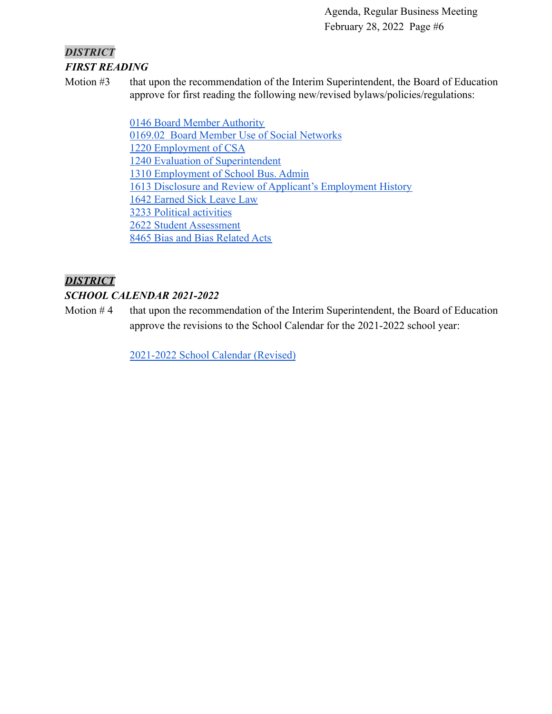# *DISTRICT FIRST READING*

Motion #3 that upon the recommendation of the Interim Superintendent, the Board of Education approve for first reading the following new/revised bylaws/policies/regulations:

> [0146 Board Member Authority](https://drive.google.com/file/d/14BRwRgvT29NLzMLcOiUURXwyqpKybDu1/view?usp=sharing) [0169.02 Board Member Use of Social Networks](https://drive.google.com/file/d/1dPnhYH5XKOgB3w0Asii7QdiWYZlwHQ4X/view?usp=sharing) [1220 Employment of CSA](https://drive.google.com/file/d/1Aw_xKDM7Gjqlu28pyARsVuxuTkSqaIv_/view?usp=sharing) [1240 Evaluation of Superintendent](https://drive.google.com/file/d/1S8dxQ0f9fT2E595oBmfJ6EMWv0mcvobI/view?usp=sharing) [1310 Employment of School Bus. Admin](https://drive.google.com/file/d/1pGvOKIfwpvJtsbseAbMhdheBHeHMSbc4/view?usp=sharing) [1613 Disclosure and Review of Applicant's Employment History](https://drive.google.com/file/d/18SiGV7AuWBE0l6v8PxdQBfH2op4pynl7/view?usp=sharing) [1642 Earned Sick Leave Law](https://drive.google.com/file/d/1UUEnbeVnZ9mgfPmhkrxqYqr9THpv-UxO/view?usp=sharing) [3233 Political activities](https://drive.google.com/file/d/1IsjzWTNP5L_Dlf98UJbuPOIlNoZ5oF4N/view?usp=sharing) [2622 Student Assessment](https://drive.google.com/file/d/1_7bc43jEK_Ja1zwGqcaAEcmfLMoHp9e0/view?usp=sharing) [8465 Bias and Bias Related Acts](https://drive.google.com/file/d/1bcWaiZ3uF04GHfj1yjFcPzAGxg6MGVz_/view?usp=sharing)

# *DISTRICT*

# *SCHOOL CALENDAR 2021-2022*

Motion  $#4$  that upon the recommendation of the Interim Superintendent, the Board of Education approve the revisions to the School Calendar for the 2021-2022 school year:

[2021-2022 School Calendar \(Revised\)](https://drive.google.com/file/d/1CbtKnf3AzmyqQg4zIXRl0hKmD7db4Qja/view?usp=sharingJFzfnuaNT2uQq5tKDS4Jg7X_xj/view?usp=sharingKOyy4tA9ruqR25i0F2ohE0Q_i/view?usp=sharingmylq5P2PEYJzoWGfFZBdBzgSvTj/view?usp=sharing)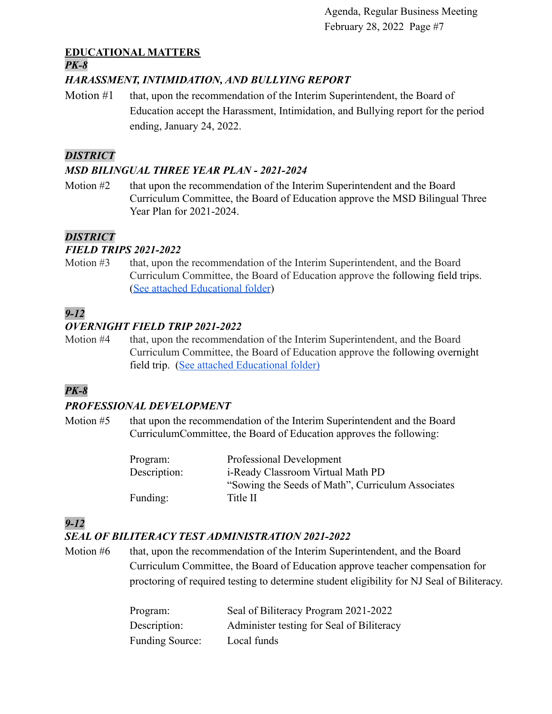# **EDUCATIONAL MATTERS**

#### *PK-8*

# *HARASSMENT, INTIMIDATION, AND BULLYING REPORT*

Motion #1 that, upon the recommendation of the Interim Superintendent, the Board of Education accept the Harassment, Intimidation, and Bullying report for the period ending, January 24, 2022.

# *DISTRICT*

# *MSD BILINGUAL THREE YEAR PLAN - 2021-2024*

Motion #2 that upon the recommendation of the Interim Superintendent and the Board Curriculum Committee, the Board of Education approve the MSD Bilingual Three Year Plan for 2021-2024.

# *DISTRICT*

# *FIELD TRIPS 2021-2022*

Motion #3 that, upon the recommendation of the Interim Superintendent, and the Board Curriculum Committee, the Board of Education approve the following field trips. ([See attached Educational folder](https://drive.google.com/file/d/1Kk5Oj55hhOghPmVOuwIBhEhKKICWjNNb/view?usp=sharing))

# *9-12*

# *OVERNIGHT FIELD TRIP 2021-2022*

Motion #4 that, upon the recommendation of the Interim Superintendent, and the Board Curriculum Committee, the Board of Education approve the following overnight field trip. ([See attached Educational folder\)](https://drive.google.com/file/d/1ujoRlC6jZzERVDdQkErySirrtybSE_9m/view?usp=sharing)

# *PK-8*

# *PROFESSIONAL DEVELOPMENT*

Motion #5 that upon the recommendation of the Interim Superintendent and the Board CurriculumCommittee, the Board of Education approves the following:

| Program:     | Professional Development                          |
|--------------|---------------------------------------------------|
| Description: | i-Ready Classroom Virtual Math PD                 |
|              | "Sowing the Seeds of Math", Curriculum Associates |
| Funding:     | Title II                                          |

# *9-12*

# *SEAL OF BILITERACY TEST ADMINISTRATION 2021-2022*

Motion #6 that, upon the recommendation of the Interim Superintendent, and the Board Curriculum Committee, the Board of Education approve teacher compensation for proctoring of required testing to determine student eligibility for NJ Seal of Biliteracy.

| Program:               | Seal of Biliteracy Program 2021-2022      |
|------------------------|-------------------------------------------|
| Description:           | Administer testing for Seal of Biliteracy |
| <b>Funding Source:</b> | Local funds                               |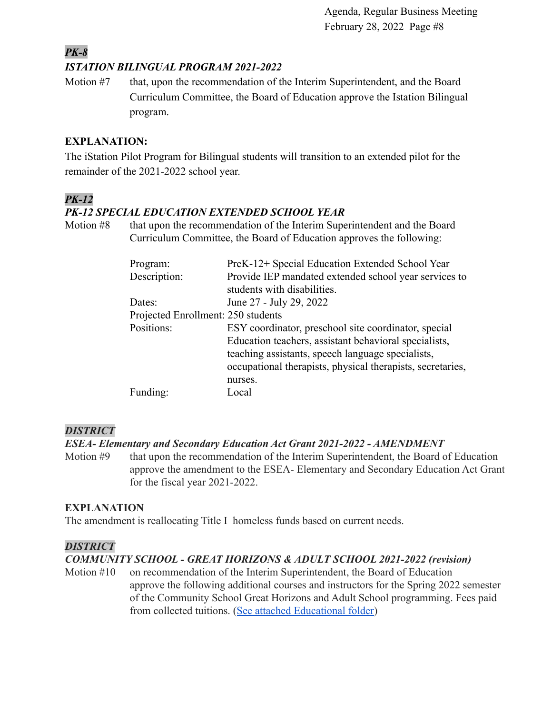### *PK-8 ISTATION BILINGUAL PROGRAM 2021-2022*

Motion #7 that, upon the recommendation of the Interim Superintendent, and the Board Curriculum Committee, the Board of Education approve the Istation Bilingual program.

# **EXPLANATION:**

The iStation Pilot Program for Bilingual students will transition to an extended pilot for the remainder of the 2021-2022 school year.

# *PK-12*

# *PK-12 SPECIAL EDUCATION EXTENDED SCHOOL YEAR*

Motion #8 that upon the recommendation of the Interim Superintendent and the Board Curriculum Committee, the Board of Education approves the following:

| Program:                           | PreK-12+ Special Education Extended School Year            |
|------------------------------------|------------------------------------------------------------|
| Description:                       | Provide IEP mandated extended school year services to      |
|                                    | students with disabilities.                                |
| Dates:                             | June 27 - July 29, 2022                                    |
| Projected Enrollment: 250 students |                                                            |
| Positions:                         | ESY coordinator, preschool site coordinator, special       |
|                                    | Education teachers, assistant behavioral specialists,      |
|                                    | teaching assistants, speech language specialists,          |
|                                    | occupational therapists, physical therapists, secretaries, |
|                                    | nurses.                                                    |
| Funding:                           | Local                                                      |

# *DISTRICT*

# *ESEA- Elementary and Secondary Education Act Grant 2021-2022 - AMENDMENT*

Motion #9 that upon the recommendation of the Interim Superintendent, the Board of Education approve the amendment to the ESEA- Elementary and Secondary Education Act Grant for the fiscal year 2021-2022.

# **EXPLANATION**

The amendment is reallocating Title I homeless funds based on current needs.

### *DISTRICT*

# *COMMUNITY SCHOOL - GREAT HORIZONS & ADULT SCHOOL 2021-2022 (revision)*

Motion #10 on recommendation of the Interim Superintendent, the Board of Education approve the following additional courses and instructors for the Spring 2022 semester of the Community School Great Horizons and Adult School programming. Fees paid from collected tuitions. ([See attached Educational](https://drive.google.com/file/d/1zLlQcLeEdM9A6UstRUB81QM2VaAPvSbr/view?usp=sharing) folder)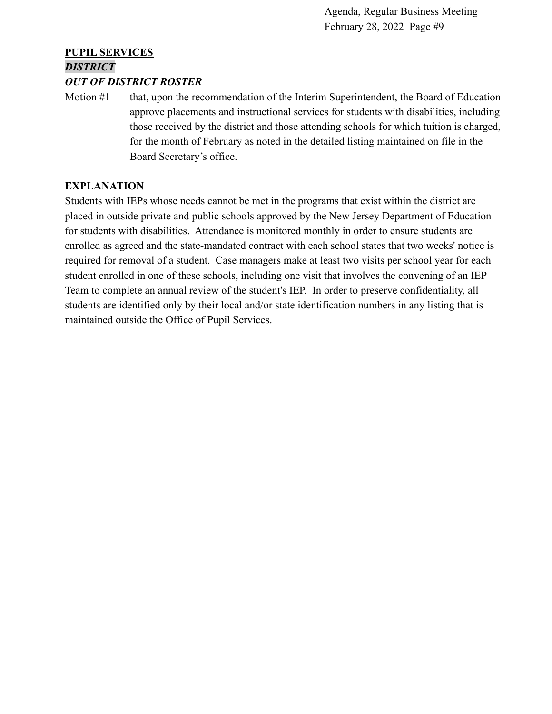# **PUPIL SERVICES** *DISTRICT*

#### *OUT OF DISTRICT ROSTER*

Motion #1 that, upon the recommendation of the Interim Superintendent, the Board of Education approve placements and instructional services for students with disabilities, including those received by the district and those attending schools for which tuition is charged, for the month of February as noted in the detailed listing maintained on file in the Board Secretary's office.

### **EXPLANATION**

Students with IEPs whose needs cannot be met in the programs that exist within the district are placed in outside private and public schools approved by the New Jersey Department of Education for students with disabilities. Attendance is monitored monthly in order to ensure students are enrolled as agreed and the state-mandated contract with each school states that two weeks' notice is required for removal of a student. Case managers make at least two visits per school year for each student enrolled in one of these schools, including one visit that involves the convening of an IEP Team to complete an annual review of the student's IEP. In order to preserve confidentiality, all students are identified only by their local and/or state identification numbers in any listing that is maintained outside the Office of Pupil Services.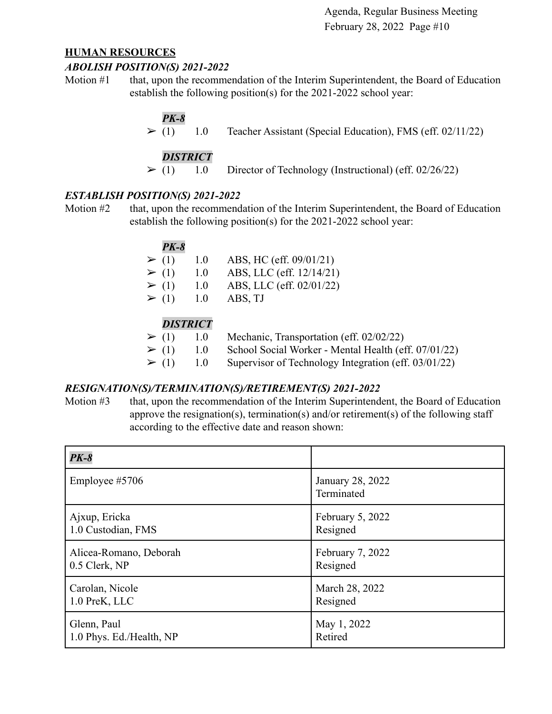#### **HUMAN RESOURCES**

#### *ABOLISH POSITION(S) 2021-2022*

Motion #1 that, upon the recommendation of the Interim Superintendent, the Board of Education establish the following position(s) for the 2021-2022 school year:

# *PK-8*

 $\triangleright$  (1) 1.0 Teacher Assistant (Special Education), FMS (eff. 02/11/22)

# *DISTRICT*

 $\geq$  (1) 1.0 Director of Technology (Instructional) (eff. 02/26/22)

# *ESTABLISH POSITION(S) 2021-2022*

Motion #2 that, upon the recommendation of the Interim Superintendent, the Board of Education establish the following position(s) for the 2021-2022 school year:

| PK-8       |     |                          |
|------------|-----|--------------------------|
| $\geq (1)$ | 1.0 | ABS, HC (eff. 09/01/21)  |
| $\geq (1)$ | 1.0 | ABS, LLC (eff. 12/14/21) |
| $\geq (1)$ | 1.0 | ABS, LLC (eff. 02/01/22) |
| $\geq (1)$ | 1.0 | ABS, TJ                  |
|            |     |                          |

# *DISTRICT*

- $\triangleright$  (1) 1.0 Mechanic, Transportation (eff. 02/02/22)
- $\geq$  (1) 1.0 School Social Worker Mental Health (eff. 07/01/22)
- $\geq$  (1) 1.0 Supervisor of Technology Integration (eff. 03/01/22)

### *RESIGNATION(S)/TERMINATION(S)/RETIREMENT(S) 2021-2022*

Motion #3 that, upon the recommendation of the Interim Superintendent, the Board of Education approve the resignation(s), termination(s) and/or retirement(s) of the following staff according to the effective date and reason shown:

| $PK-8$                   |                                |
|--------------------------|--------------------------------|
| Employee #5706           | January 28, 2022<br>Terminated |
| Ajxup, Ericka            | February 5, 2022               |
| 1.0 Custodian, FMS       | Resigned                       |
| Alicea-Romano, Deborah   | February 7, 2022               |
| 0.5 Clerk, NP            | Resigned                       |
| Carolan, Nicole          | March 28, 2022                 |
| 1.0 PreK, LLC            | Resigned                       |
| Glenn, Paul              | May 1, 2022                    |
| 1.0 Phys. Ed./Health, NP | Retired                        |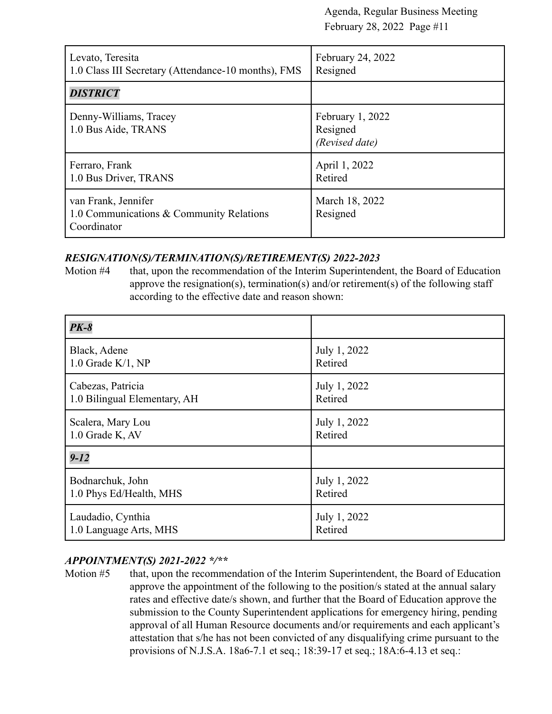| Levato, Teresita<br>1.0 Class III Secretary (Attendance-10 months), FMS        | February 24, 2022<br>Resigned                  |
|--------------------------------------------------------------------------------|------------------------------------------------|
| <b>DISTRICT</b>                                                                |                                                |
| Denny-Williams, Tracey<br>1.0 Bus Aide, TRANS                                  | February 1, 2022<br>Resigned<br>(Revised date) |
| Ferraro, Frank<br>1.0 Bus Driver, TRANS                                        | April 1, 2022<br>Retired                       |
| van Frank, Jennifer<br>1.0 Communications & Community Relations<br>Coordinator | March 18, 2022<br>Resigned                     |

### *RESIGNATION(S)/TERMINATION(S)/RETIREMENT(S) 2022-2023*

Motion #4 that, upon the recommendation of the Interim Superintendent, the Board of Education approve the resignation(s), termination(s) and/or retirement(s) of the following staff according to the effective date and reason shown:

| $PK-8$                       |              |
|------------------------------|--------------|
| Black, Adene                 | July 1, 2022 |
| $1.0$ Grade K/1, NP          | Retired      |
| Cabezas, Patricia            | July 1, 2022 |
| 1.0 Bilingual Elementary, AH | Retired      |
| Scalera, Mary Lou            | July 1, 2022 |
| 1.0 Grade K, AV              | Retired      |
| $9 - 12$                     |              |
| Bodnarchuk, John             | July 1, 2022 |
| 1.0 Phys Ed/Health, MHS      | Retired      |
| Laudadio, Cynthia            | July 1, 2022 |
| 1.0 Language Arts, MHS       | Retired      |

# *APPOINTMENT(S) 2021-2022 \*/\*\**

Motion #5 that, upon the recommendation of the Interim Superintendent, the Board of Education approve the appointment of the following to the position/s stated at the annual salary rates and effective date/s shown, and further that the Board of Education approve the submission to the County Superintendent applications for emergency hiring, pending approval of all Human Resource documents and/or requirements and each applicant's attestation that s/he has not been convicted of any disqualifying crime pursuant to the provisions of N.J.S.A. 18a6-7.1 et seq.; 18:39-17 et seq.; 18A:6-4.13 et seq.: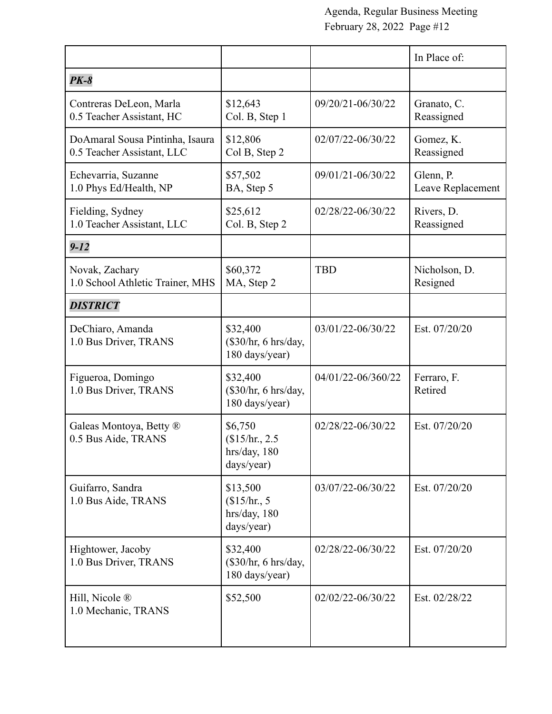|                                                               |                                                        |                    | In Place of:                   |
|---------------------------------------------------------------|--------------------------------------------------------|--------------------|--------------------------------|
| <b>PK-8</b>                                                   |                                                        |                    |                                |
| Contreras DeLeon, Marla<br>0.5 Teacher Assistant, HC          | \$12,643<br>Col. B, Step 1                             | 09/20/21-06/30/22  | Granato, C.<br>Reassigned      |
| DoAmaral Sousa Pintinha, Isaura<br>0.5 Teacher Assistant, LLC | \$12,806<br>Col B, Step 2                              | 02/07/22-06/30/22  | Gomez, K.<br>Reassigned        |
| Echevarria, Suzanne<br>1.0 Phys Ed/Health, NP                 | \$57,502<br>BA, Step 5                                 | 09/01/21-06/30/22  | Glenn, P.<br>Leave Replacement |
| Fielding, Sydney<br>1.0 Teacher Assistant, LLC                | \$25,612<br>Col. B, Step 2                             | 02/28/22-06/30/22  | Rivers, D.<br>Reassigned       |
| $9 - 12$                                                      |                                                        |                    |                                |
| Novak, Zachary<br>1.0 School Athletic Trainer, MHS            | \$60,372<br>MA, Step 2                                 | <b>TBD</b>         | Nicholson, D.<br>Resigned      |
| <b>DISTRICT</b>                                               |                                                        |                    |                                |
| DeChiaro, Amanda<br>1.0 Bus Driver, TRANS                     | \$32,400<br>$(\$30/hr, 6 hrs/day,$<br>180 days/year)   | 03/01/22-06/30/22  | Est. 07/20/20                  |
| Figueroa, Domingo<br>1.0 Bus Driver, TRANS                    | \$32,400<br>(\$30/hr, 6 hrs/day,<br>180 days/year)     | 04/01/22-06/360/22 | Ferraro, F.<br>Retired         |
| Galeas Montoya, Betty ®<br>0.5 Bus Aide, TRANS                | \$6,750<br>\$15/hr., 2.5<br>hrs/day, 180<br>days/year) | 02/28/22-06/30/22  | Est. 07/20/20                  |
| Guifarro, Sandra<br>1.0 Bus Aide, TRANS                       | \$13,500<br>\$15/hr.5<br>hrs/day, 180<br>days/year)    | 03/07/22-06/30/22  | Est. 07/20/20                  |
| Hightower, Jacoby<br>1.0 Bus Driver, TRANS                    | \$32,400<br>$(\$30/hr, 6 hrs/day,$<br>180 days/year)   | 02/28/22-06/30/22  | Est. 07/20/20                  |
| Hill, Nicole ®<br>1.0 Mechanic, TRANS                         | \$52,500                                               | 02/02/22-06/30/22  | Est. 02/28/22                  |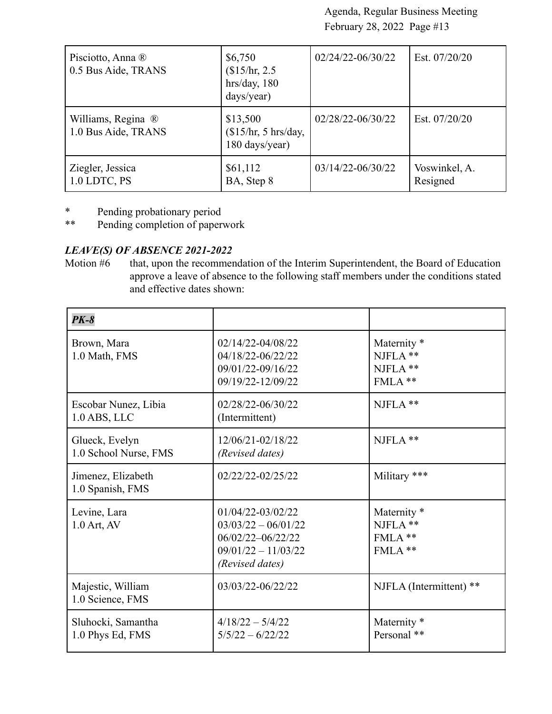| Pisciotto, Anna ®<br>0.5 Bus Aide, TRANS  | \$6,750<br>\$15/hr, 2.5<br>hrs/day, 180<br>days/year) | 02/24/22-06/30/22 | Est. $07/20/20$           |
|-------------------------------------------|-------------------------------------------------------|-------------------|---------------------------|
| Williams, Regina ®<br>1.0 Bus Aide, TRANS | \$13,500<br>\$15/hr, 5 hrs/day,<br>180 days/year)     | 02/28/22-06/30/22 | Est. 07/20/20             |
| Ziegler, Jessica<br>1.0 LDTC, PS          | \$61,112<br>BA, Step 8                                | 03/14/22-06/30/22 | Voswinkel, A.<br>Resigned |

- \* Pending probationary period<br>\*\* Pending completion of paper
- Pending completion of paperwork

# *LEAVE(S) OF ABSENCE 2021-2022*

Motion #6 that, upon the recommendation of the Interim Superintendent, the Board of Education approve a leave of absence to the following staff members under the conditions stated and effective dates shown:

| $PK-8$                                  |                                                                                                             |                                                              |
|-----------------------------------------|-------------------------------------------------------------------------------------------------------------|--------------------------------------------------------------|
| Brown, Mara<br>1.0 Math, FMS            | 02/14/22-04/08/22<br>04/18/22-06/22/22<br>09/01/22-09/16/22<br>09/19/22-12/09/22                            | Maternity <sup>*</sup><br>NJFLA **<br>NJFLA **<br>$FMLA$ **  |
| Escobar Nunez, Libia<br>$1.0$ ABS, LLC  | 02/28/22-06/30/22<br>(Intermittent)                                                                         | NJFLA **                                                     |
| Glueck, Evelyn<br>1.0 School Nurse, FMS | 12/06/21-02/18/22<br>(Revised dates)                                                                        | NJFLA **                                                     |
| Jimenez, Elizabeth<br>1.0 Spanish, FMS  | 02/22/22-02/25/22                                                                                           | Military ***                                                 |
| Levine, Lara<br>1.0 Art, AV             | 01/04/22-03/02/22<br>$03/03/22 - 06/01/22$<br>06/02/22-06/22/22<br>$09/01/22 - 11/03/22$<br>(Revised dates) | Maternity <sup>*</sup><br>NJFLA **<br>$FMLA$ **<br>$FMLA$ ** |
| Majestic, William<br>1.0 Science, FMS   | 03/03/22-06/22/22                                                                                           | NJFLA (Intermittent) **                                      |
| Sluhocki, Samantha<br>1.0 Phys Ed, FMS  | $4/18/22 - 5/4/22$<br>$5/5/22 - 6/22/22$                                                                    | Maternity <sup>*</sup><br>Personal **                        |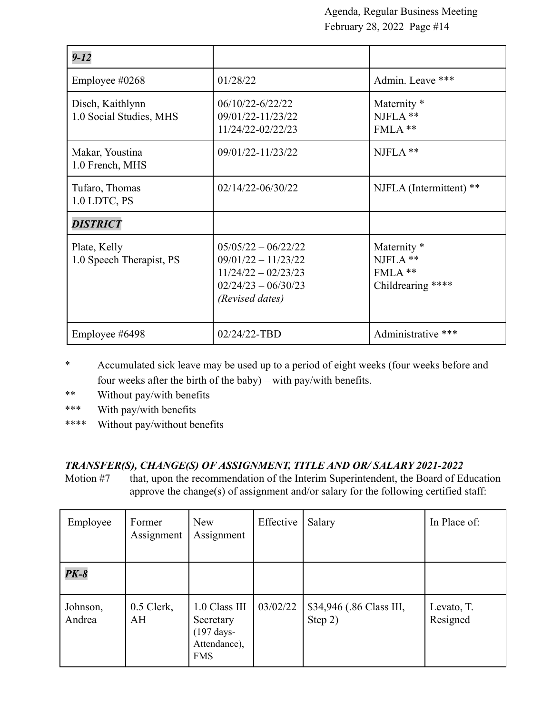| $9 - 12$                                    |                                                                                                                     |                                                                      |
|---------------------------------------------|---------------------------------------------------------------------------------------------------------------------|----------------------------------------------------------------------|
| Employee $\#0268$                           | 01/28/22                                                                                                            | Admin. Leave ***                                                     |
| Disch, Kaithlynn<br>1.0 Social Studies, MHS | 06/10/22-6/22/22<br>09/01/22-11/23/22<br>11/24/22-02/22/23                                                          | Maternity <sup>*</sup><br>NJFLA **<br>FMLA**                         |
| Makar, Youstina<br>1.0 French, MHS          | 09/01/22-11/23/22                                                                                                   | NJFLA **                                                             |
| Tufaro, Thomas<br>1.0 LDTC, PS              | 02/14/22-06/30/22                                                                                                   | NJFLA (Intermittent) **                                              |
| <b>DISTRICT</b>                             |                                                                                                                     |                                                                      |
| Plate, Kelly<br>1.0 Speech Therapist, PS    | $05/05/22 - 06/22/22$<br>$09/01/22 - 11/23/22$<br>$11/24/22 - 02/23/23$<br>$02/24/23 - 06/30/23$<br>(Revised dates) | Maternity <sup>*</sup><br>NJFLA **<br>$FMLA$ **<br>Childrearing **** |
| Employee #6498                              | 02/24/22-TBD                                                                                                        | Administrative ***                                                   |

- \* Accumulated sick leave may be used up to a period of eight weeks (four weeks before and four weeks after the birth of the baby) – with pay/with benefits.
- \*\* Without pay/with benefits
- \*\*\* With pay/with benefits
- \*\*\*\* Without pay/without benefits

# *TRANSFER(S), CHANGE(S) OF ASSIGNMENT, TITLE AND OR/ SALARY 2021-2022*

Motion #7 that, upon the recommendation of the Interim Superintendent, the Board of Education approve the change(s) of assignment and/or salary for the following certified staff:

| Employee           | Former<br>Assignment | <b>New</b><br>Assignment                                                          | Effective | Salary                              | In Place of:           |
|--------------------|----------------------|-----------------------------------------------------------------------------------|-----------|-------------------------------------|------------------------|
| $PK-8$             |                      |                                                                                   |           |                                     |                        |
| Johnson,<br>Andrea | $0.5$ Clerk,<br>AH   | 1.0 Class III<br>Secretary<br>$(197 \text{ days} -$<br>Attendance),<br><b>FMS</b> | 03/02/22  | \$34,946 (.86 Class III,<br>Step 2) | Levato, T.<br>Resigned |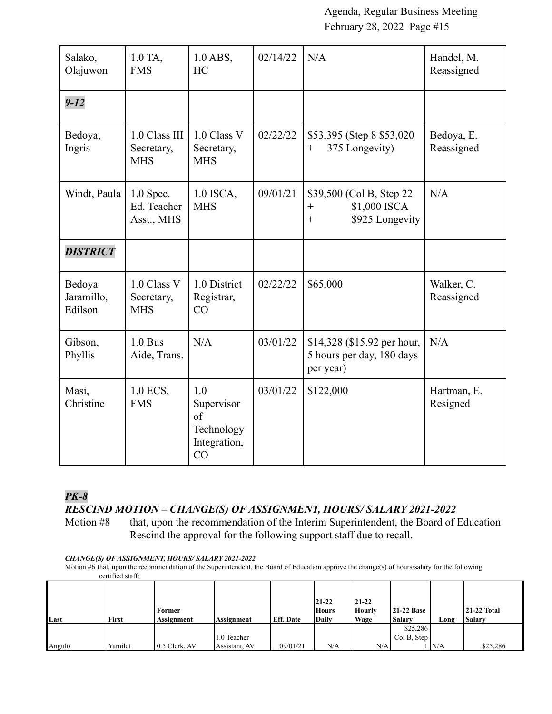| Salako,<br>Olajuwon             | 1.0 TA,<br><b>FMS</b>                     | $1.0$ ABS,<br><b>HC</b>                                     | 02/14/22 | N/A                                                                              | Handel, M.<br>Reassigned |
|---------------------------------|-------------------------------------------|-------------------------------------------------------------|----------|----------------------------------------------------------------------------------|--------------------------|
| $9 - 12$                        |                                           |                                                             |          |                                                                                  |                          |
| Bedoya,<br>Ingris               | 1.0 Class III<br>Secretary,<br><b>MHS</b> | 1.0 Class V<br>Secretary,<br><b>MHS</b>                     | 02/22/22 | \$53,395 (Step 8 \$53,020)<br>375 Longevity)<br>$^{+}$                           | Bedoya, E.<br>Reassigned |
| Windt, Paula                    | $1.0$ Spec.<br>Ed. Teacher<br>Asst., MHS  | 1.0 ISCA,<br><b>MHS</b>                                     | 09/01/21 | \$39,500 (Col B, Step 22)<br>\$1,000 ISCA<br>$^{+}$<br>\$925 Longevity<br>$^{+}$ | N/A                      |
| <b>DISTRICT</b>                 |                                           |                                                             |          |                                                                                  |                          |
| Bedoya<br>Jaramillo,<br>Edilson | 1.0 Class V<br>Secretary,<br><b>MHS</b>   | 1.0 District<br>Registrar,<br>CO                            | 02/22/22 | \$65,000                                                                         | Walker, C.<br>Reassigned |
| Gibson,<br>Phyllis              | $1.0$ Bus<br>Aide, Trans.                 | N/A                                                         | 03/01/22 | \$14,328 (\$15.92 per hour,<br>5 hours per day, 180 days<br>per year)            | N/A                      |
| Masi,<br>Christine              | 1.0 ECS,<br><b>FMS</b>                    | 1.0<br>Supervisor<br>of<br>Technology<br>Integration,<br>CO | 03/01/22 | \$122,000                                                                        | Hartman, E.<br>Resigned  |

# *PK-8*

# *RESCIND MOTION – CHANGE(S) OF ASSIGNMENT, HOURS/ SALARY 2021-2022*

Motion #8 that, upon the recommendation of the Interim Superintendent, the Board of Education Rescind the approval for the following support staff due to recall.

#### *CHANGE(S) OF ASSIGNMENT, HOURS/ SALARY 2021-2022*

Motion #6 that, upon the recommendation of the Superintendent, the Board of Education approve the change(s) of hours/salary for the following certified staff:

| Last   | First   | Former<br>Assignment | Assignment    | <b>Eff.</b> Date | 21-22<br><b>Hours</b><br>Daily | $21 - 22$<br>Hourly<br>Wage | <b>21-22 Base</b><br>Salary | Long | <b>21-22 Total</b><br><b>Salary</b> |
|--------|---------|----------------------|---------------|------------------|--------------------------------|-----------------------------|-----------------------------|------|-------------------------------------|
|        |         |                      |               |                  |                                |                             | \$25,286                    |      |                                     |
|        |         |                      | 1.0 Teacher   |                  |                                |                             | Col B, Step                 |      |                                     |
| Angulo | Yamilet | 0.5 Clerk, AV        | Assistant, AV | 09/01/21         | N/A                            | N/A                         |                             | N/A  | \$25,286                            |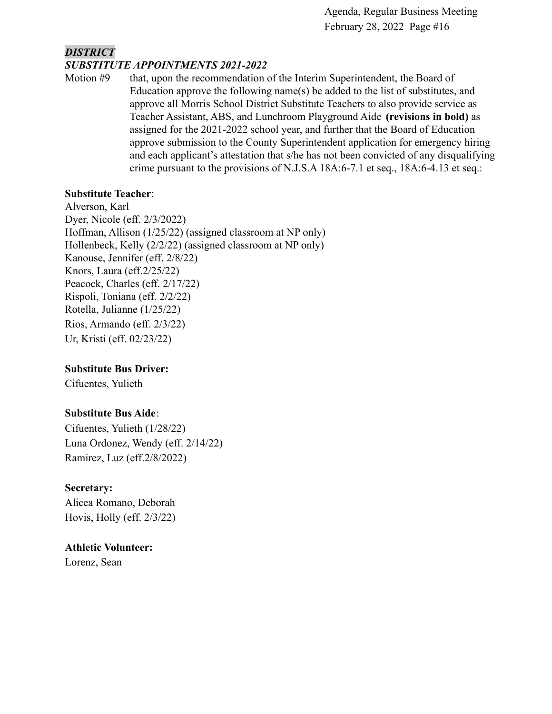### *DISTRICT SUBSTITUTE APPOINTMENTS 2021-2022*

Motion #9 that, upon the recommendation of the Interim Superintendent, the Board of Education approve the following name(s) be added to the list of substitutes, and approve all Morris School District Substitute Teachers to also provide service as Teacher Assistant, ABS, and Lunchroom Playground Aide **(revisions in bold)** as assigned for the 2021-2022 school year, and further that the Board of Education approve submission to the County Superintendent application for emergency hiring and each applicant's attestation that s/he has not been convicted of any disqualifying crime pursuant to the provisions of N.J.S.A 18A:6-7.1 et seq., 18A:6-4.13 et seq.:

# **Substitute Teacher**:

Alverson, Karl Dyer, Nicole (eff. 2/3/2022) Hoffman, Allison (1/25/22) (assigned classroom at NP only) Hollenbeck, Kelly (2/2/22) (assigned classroom at NP only) Kanouse, Jennifer (eff. 2/8/22) Knors, Laura (eff.2/25/22) Peacock, Charles (eff. 2/17/22) Rispoli, Toniana (eff. 2/2/22) Rotella, Julianne (1/25/22) Rios, Armando (eff. 2/3/22) Ur, Kristi (eff. 02/23/22)

# **Substitute Bus Driver:**

Cifuentes, Yulieth

# **Substitute Bus Aide**:

Cifuentes, Yulieth (1/28/22) Luna Ordonez, Wendy (eff. 2/14/22) Ramirez, Luz (eff.2/8/2022)

# **Secretary:**

Alicea Romano, Deborah Hovis, Holly (eff. 2/3/22)

# **Athletic Volunteer:**

Lorenz, Sean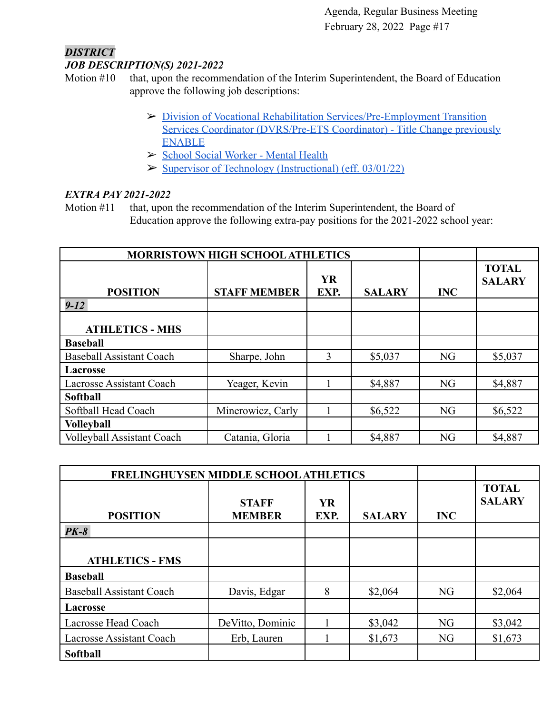#### *DISTRICT JOB DESCRIPTION(S) 2021-2022*

- Motion #10 that, upon the recommendation of the Interim Superintendent, the Board of Education approve the following job descriptions:
	- ➢ [Division of Vocational Rehabilitation Services/Pre-Employment Transition](https://drive.google.com/file/d/1C1v4GTrC1-gxojKMzZujcdE0cOuJN_YU/view?usp=sharing) [Services Coordinator \(DVRS/Pre-ETS Coordinator\) - Title Change previously](https://drive.google.com/file/d/1C1v4GTrC1-gxojKMzZujcdE0cOuJN_YU/view?usp=sharing) [ENABLE](https://drive.google.com/file/d/1C1v4GTrC1-gxojKMzZujcdE0cOuJN_YU/view?usp=sharing)
	- ➢ [School Social Worker Mental Health](https://drive.google.com/file/d/1VH2Ij3iO0AUxIu5CGgGmJfFPHPMvGc7a/view?usp=sharing)
	- $\triangleright$  [Supervisor of Technology \(Instructional\) \(eff. 03/01/22\)](https://drive.google.com/file/d/1iykyFPcQkuuoPmce3gdvdssLLUCl_ddN/view?usp=sharing)

# *EXTRA PAY 2021-2022*

Motion #11 that, upon the recommendation of the Interim Superintendent, the Board of Education approve the following extra-pay positions for the 2021-2022 school year:

| <b>MORRISTOWN HIGH SCHOOL ATHLETICS</b> |                     |                   |               |            |                               |
|-----------------------------------------|---------------------|-------------------|---------------|------------|-------------------------------|
| <b>POSITION</b>                         | <b>STAFF MEMBER</b> | <b>YR</b><br>EXP. | <b>SALARY</b> | <b>INC</b> | <b>TOTAL</b><br><b>SALARY</b> |
| $9 - 12$                                |                     |                   |               |            |                               |
| <b>ATHLETICS - MHS</b>                  |                     |                   |               |            |                               |
| <b>Baseball</b>                         |                     |                   |               |            |                               |
| <b>Baseball Assistant Coach</b>         | Sharpe, John        | 3                 | \$5,037       | <b>NG</b>  | \$5,037                       |
| Lacrosse                                |                     |                   |               |            |                               |
| <b>Lacrosse Assistant Coach</b>         | Yeager, Kevin       |                   | \$4,887       | <b>NG</b>  | \$4,887                       |
| Softball                                |                     |                   |               |            |                               |
| Softball Head Coach                     | Minerowicz, Carly   |                   | \$6,522       | <b>NG</b>  | \$6,522                       |
| <b>Volleyball</b>                       |                     |                   |               |            |                               |
| <b>Volleyball Assistant Coach</b>       | Catania, Gloria     |                   | \$4,887       | <b>NG</b>  | \$4,887                       |

| FRELINGHUYSEN MIDDLE SCHOOL ATHLETICS |                  |           |               |            |               |
|---------------------------------------|------------------|-----------|---------------|------------|---------------|
|                                       |                  |           |               |            | <b>TOTAL</b>  |
|                                       | <b>STAFF</b>     | <b>YR</b> |               |            | <b>SALARY</b> |
| <b>POSITION</b>                       | <b>MEMBER</b>    | EXP.      | <b>SALARY</b> | <b>INC</b> |               |
| $PK-8$                                |                  |           |               |            |               |
|                                       |                  |           |               |            |               |
| <b>ATHLETICS - FMS</b>                |                  |           |               |            |               |
| <b>Baseball</b>                       |                  |           |               |            |               |
| <b>Baseball Assistant Coach</b>       | Davis, Edgar     | 8         | \$2,064       | NG         | \$2,064       |
| <b>Lacrosse</b>                       |                  |           |               |            |               |
| Lacrosse Head Coach                   | DeVitto, Dominic |           | \$3,042       | NG         | \$3,042       |
| <b>Lacrosse Assistant Coach</b>       | Erb, Lauren      |           | \$1,673       | NG         | \$1,673       |
| <b>Softball</b>                       |                  |           |               |            |               |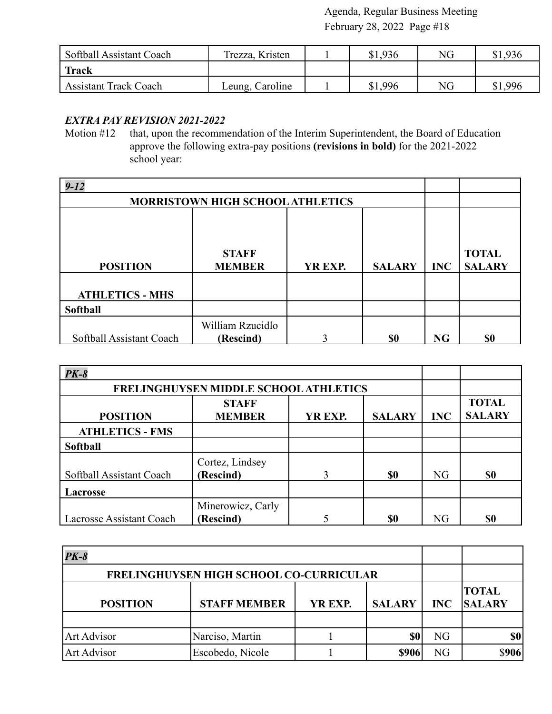| <b>Softball Assistant Coach</b> | Trezza, Kristen | \$1,936 | NG | \$1,936 |
|---------------------------------|-----------------|---------|----|---------|
| <b>Track</b>                    |                 |         |    |         |
| <b>Assistant Track Coach</b>    | Leung, Caroline | \$1,996 | NG | \$1,996 |

### *EXTRA PAY REVISION 2021-2022*

Motion #12 that, upon the recommendation of the Interim Superintendent, the Board of Education approve the following extra-pay positions **(revisions in bold)** for the 2021-2022 school year:

| $9 - 12$                 |                                         |             |               |            |                               |
|--------------------------|-----------------------------------------|-------------|---------------|------------|-------------------------------|
|                          | <b>MORRISTOWN HIGH SCHOOL ATHLETICS</b> |             |               |            |                               |
| <b>POSITION</b>          | <b>STAFF</b><br><b>MEMBER</b>           | YR EXP.     | <b>SALARY</b> | <b>INC</b> | <b>TOTAL</b><br><b>SALARY</b> |
| <b>ATHLETICS - MHS</b>   |                                         |             |               |            |                               |
| <b>Softball</b>          |                                         |             |               |            |                               |
|                          | William Rzucidlo                        | $\mathbf 3$ |               |            |                               |
| Softball Assistant Coach | (Rescind)                               |             | \$0           | <b>NG</b>  | \$0                           |

| $PK-8$                   |                                       |         |               |            |                               |
|--------------------------|---------------------------------------|---------|---------------|------------|-------------------------------|
|                          | FRELINGHUYSEN MIDDLE SCHOOL ATHLETICS |         |               |            |                               |
| <b>POSITION</b>          | <b>STAFF</b><br><b>MEMBER</b>         | YR EXP. | <b>SALARY</b> | <b>INC</b> | <b>TOTAL</b><br><b>SALARY</b> |
| <b>ATHLETICS - FMS</b>   |                                       |         |               |            |                               |
| <b>Softball</b>          |                                       |         |               |            |                               |
| Softball Assistant Coach | Cortez, Lindsey<br>(Rescind)          | 3       | \$0           | NG         | \$0                           |
| <b>Lacrosse</b>          |                                       |         |               |            |                               |
| Lacrosse Assistant Coach | Minerowicz, Carly<br>(Rescind)        |         | \$0           | <b>NG</b>  | \$0                           |

| $PK-8$                                  |                     |         |               |            |                               |
|-----------------------------------------|---------------------|---------|---------------|------------|-------------------------------|
| FRELINGHUYSEN HIGH SCHOOL CO-CURRICULAR |                     |         |               |            |                               |
| <b>POSITION</b>                         | <b>STAFF MEMBER</b> | YR EXP. | <b>SALARY</b> | <b>INC</b> | <b>TOTAL</b><br><b>SALARY</b> |
| Art Advisor                             | Narciso, Martin     |         |               | NG         | \$0                           |
| <b>Art Advisor</b>                      | Escobedo, Nicole    |         | \$906         | NG         | \$906                         |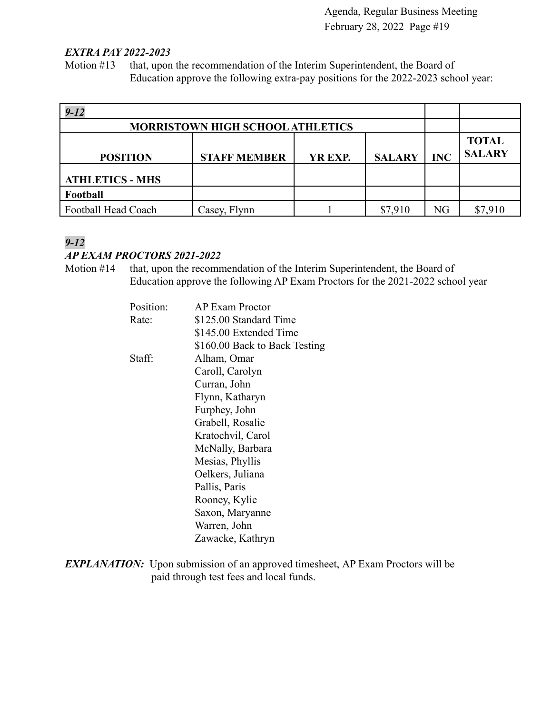#### *EXTRA PAY 2022-2023*

Motion #13 that, upon the recommendation of the Interim Superintendent, the Board of Education approve the following extra-pay positions for the 2022-2023 school year:

| $9 - 12$               |                                         |         |               |            |                               |
|------------------------|-----------------------------------------|---------|---------------|------------|-------------------------------|
|                        | <b>MORRISTOWN HIGH SCHOOL ATHLETICS</b> |         |               |            |                               |
| <b>POSITION</b>        | <b>STAFF MEMBER</b>                     | YR EXP. | <b>SALARY</b> | <b>INC</b> | <b>TOTAL</b><br><b>SALARY</b> |
| <b>ATHLETICS - MHS</b> |                                         |         |               |            |                               |
| Football               |                                         |         |               |            |                               |
| Football Head Coach    | Casey, Flynn                            |         | \$7,910       | NG         | \$7,910                       |

# *9-12*

#### *AP EXAM PROCTORS 2021-2022*

Motion #14 that, upon the recommendation of the Interim Superintendent, the Board of Education approve the following AP Exam Proctors for the 2021-2022 school year

| Position: | AP Exam Proctor               |
|-----------|-------------------------------|
| Rate:     | \$125.00 Standard Time        |
|           | \$145.00 Extended Time        |
|           | \$160.00 Back to Back Testing |
| Staff:    | Alham, Omar                   |
|           | Caroll, Carolyn               |
|           | Curran, John                  |
|           | Flynn, Katharyn               |
|           | Furphey, John                 |
|           | Grabell, Rosalie              |
|           | Kratochvil, Carol             |
|           | McNally, Barbara              |
|           | Mesias, Phyllis               |
|           | Oelkers, Juliana              |
|           | Pallis, Paris                 |
|           | Rooney, Kylie                 |
|           | Saxon, Maryanne               |
|           | Warren, John                  |
|           | Zawacke, Kathryn              |

*EXPLANATION:* Upon submission of an approved timesheet, AP Exam Proctors will be paid through test fees and local funds.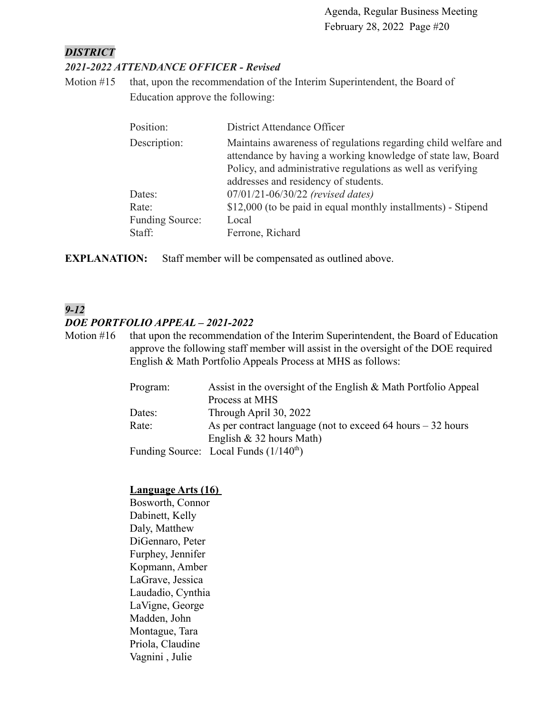### *DISTRICT*

# *2021-2022 ATTENDANCE OFFICER - Revised*

Motion #15 that, upon the recommendation of the Interim Superintendent, the Board of Education approve the following:

| Position:       | District Attendance Officer                                                                                                    |
|-----------------|--------------------------------------------------------------------------------------------------------------------------------|
| Description:    | Maintains awareness of regulations regarding child welfare and<br>attendance by having a working knowledge of state law, Board |
|                 | Policy, and administrative regulations as well as verifying<br>addresses and residency of students.                            |
| Dates:          | 07/01/21-06/30/22 (revised dates)                                                                                              |
| Rate:           | \$12,000 (to be paid in equal monthly installments) - Stipend                                                                  |
| Funding Source: | Local                                                                                                                          |
| Staff:          | Ferrone, Richard                                                                                                               |

**EXPLANATION:** Staff member will be compensated as outlined above.

# *9-12*

### *DOE PORTFOLIO APPEAL – 2021-2022*

Motion #16 that upon the recommendation of the Interim Superintendent, the Board of Education approve the following staff member will assist in the oversight of the DOE required English & Math Portfolio Appeals Process at MHS as follows:

| Assist in the oversight of the English & Math Portfolio Appeal<br>Program: |  |
|----------------------------------------------------------------------------|--|
| Process at MHS                                                             |  |
| Through April 30, 2022<br>Dates:                                           |  |
| Rate:<br>As per contract language (not to exceed 64 hours $-32$ hours      |  |
| English $& 32$ hours Math)                                                 |  |
| Funding Source: Local Funds $(1/140th)$                                    |  |

### **Language Arts (16)**

Bosworth, Connor Dabinett, Kelly Daly, Matthew DiGennaro, Peter Furphey, Jennifer Kopmann, Amber LaGrave, Jessica Laudadio, Cynthia LaVigne, George Madden, John Montague, Tara Priola, Claudine Vagnini , Julie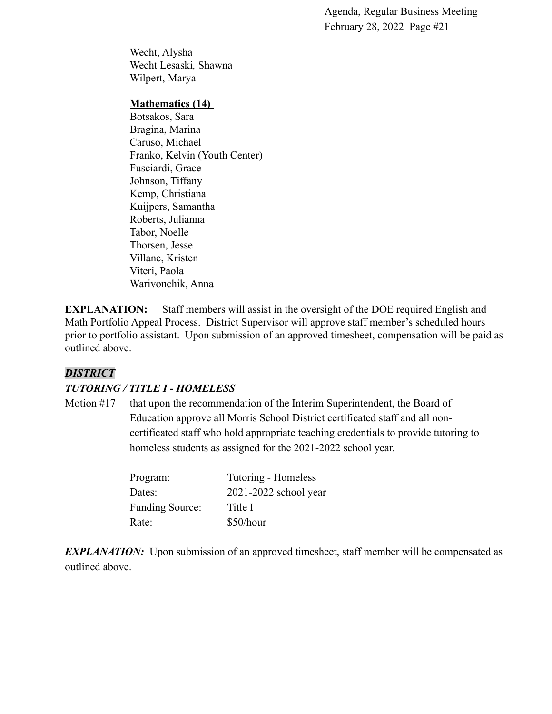Wecht, Alysha Wecht Lesaski*,* Shawna Wilpert, Marya

#### **Mathematics (14)**

Botsakos, Sara Bragina, Marina Caruso, Michael Franko, Kelvin (Youth Center) Fusciardi, Grace Johnson, Tiffany Kemp, Christiana Kuijpers, Samantha Roberts, Julianna Tabor, Noelle Thorsen, Jesse Villane, Kristen Viteri, Paola Warivonchik, Anna

**EXPLANATION:** Staff members will assist in the oversight of the DOE required English and Math Portfolio Appeal Process. District Supervisor will approve staff member's scheduled hours prior to portfolio assistant. Upon submission of an approved timesheet, compensation will be paid as outlined above.

### *DISTRICT*

### *TUTORING / TITLE I - HOMELESS*

Motion #17 that upon the recommendation of the Interim Superintendent, the Board of Education approve all Morris School District certificated staff and all noncertificated staff who hold appropriate teaching credentials to provide tutoring to homeless students as assigned for the 2021-2022 school year.

| Program:               | Tutoring - Homeless   |
|------------------------|-----------------------|
| Dates:                 | 2021-2022 school year |
| <b>Funding Source:</b> | Title I               |
| Rate:                  | \$50/hour             |

*EXPLANATION:* Upon submission of an approved timesheet, staff member will be compensated as outlined above.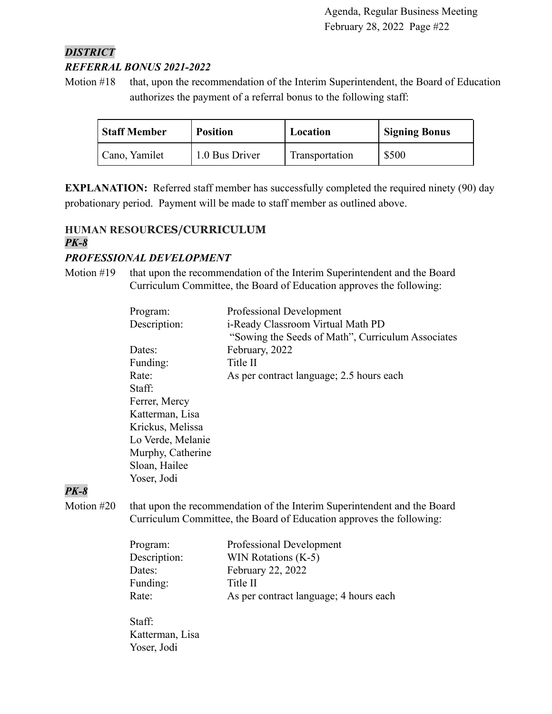# *DISTRICT REFERRAL BONUS 2021-2022*

Motion #18 that, upon the recommendation of the Interim Superintendent, the Board of Education authorizes the payment of a referral bonus to the following staff:

| <b>Staff Member</b> | <b>Position</b> | Location       | <b>Signing Bonus</b> |
|---------------------|-----------------|----------------|----------------------|
| Cano, Yamilet       | 1.0 Bus Driver  | Transportation | \$500                |

**EXPLANATION:** Referred staff member has successfully completed the required ninety (90) day probationary period. Payment will be made to staff member as outlined above.

# **HUMAN RESOURCES/CURRICULUM** *PK-8*

# *PROFESSIONAL DEVELOPMENT*

Motion #19 that upon the recommendation of the Interim Superintendent and the Board Curriculum Committee, the Board of Education approves the following:

| Program:          | Professional Development                          |
|-------------------|---------------------------------------------------|
| Description:      | i-Ready Classroom Virtual Math PD                 |
|                   | "Sowing the Seeds of Math", Curriculum Associates |
| Dates:            | February, 2022                                    |
| Funding:          | Title II                                          |
| Rate:             | As per contract language; 2.5 hours each          |
| Staff:            |                                                   |
| Ferrer, Mercy     |                                                   |
| Katterman, Lisa   |                                                   |
| Krickus, Melissa  |                                                   |
| Lo Verde, Melanie |                                                   |
| Murphy, Catherine |                                                   |
| Sloan, Hailee     |                                                   |
| Yoser, Jodi       |                                                   |
|                   |                                                   |

# *PK-8*

Motion #20 that upon the recommendation of the Interim Superintendent and the Board Curriculum Committee, the Board of Education approves the following:

| Program:     | Professional Development               |
|--------------|----------------------------------------|
| Description: | WIN Rotations (K-5)                    |
| Dates:       | February 22, 2022                      |
| Funding:     | Title II                               |
| Rate:        | As per contract language; 4 hours each |
|              |                                        |

Staff: Katterman, Lisa Yoser, Jodi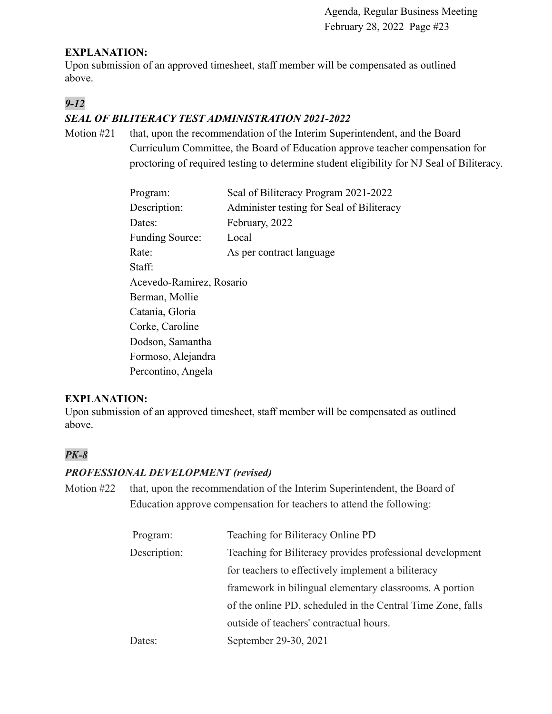### **EXPLANATION:**

Upon submission of an approved timesheet, staff member will be compensated as outlined above.

# *9-12*

# *SEAL OF BILITERACY TEST ADMINISTRATION 2021-2022*

Motion #21 that, upon the recommendation of the Interim Superintendent, and the Board Curriculum Committee, the Board of Education approve teacher compensation for proctoring of required testing to determine student eligibility for NJ Seal of Biliteracy.

| Program:                 | Seal of Biliteracy Program 2021-2022      |  |  |
|--------------------------|-------------------------------------------|--|--|
| Description:             | Administer testing for Seal of Biliteracy |  |  |
| Dates:                   | February, 2022                            |  |  |
| <b>Funding Source:</b>   | Local                                     |  |  |
| Rate:                    | As per contract language                  |  |  |
| Staff:                   |                                           |  |  |
| Acevedo-Ramirez, Rosario |                                           |  |  |
| Berman, Mollie           |                                           |  |  |
| Catania, Gloria          |                                           |  |  |
| Corke, Caroline          |                                           |  |  |
| Dodson, Samantha         |                                           |  |  |
| Formoso, Alejandra       |                                           |  |  |
| Percontino, Angela       |                                           |  |  |

# **EXPLANATION:**

Upon submission of an approved timesheet, staff member will be compensated as outlined above.

# *PK-8*

### *PROFESSIONAL DEVELOPMENT (revised)*

Motion #22 that, upon the recommendation of the Interim Superintendent, the Board of Education approve compensation for teachers to attend the following:

| Program:     | Teaching for Biliteracy Online PD                           |  |
|--------------|-------------------------------------------------------------|--|
| Description: | Teaching for Biliteracy provides professional development   |  |
|              | for teachers to effectively implement a biliteracy          |  |
|              | framework in bilingual elementary classrooms. A portion     |  |
|              | of the online PD, scheduled in the Central Time Zone, falls |  |
|              | outside of teachers' contractual hours.                     |  |
| Dates:       | September 29-30, 2021                                       |  |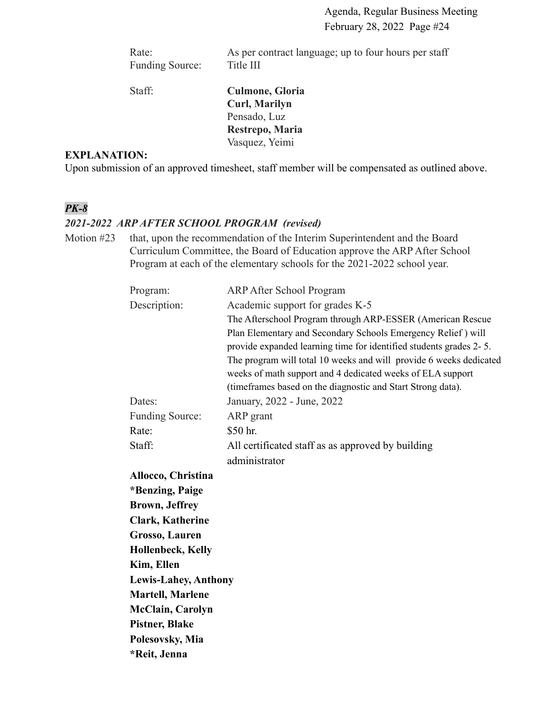Rate: As per contract language; up to four hours per staff Funding Source: Title III

Staff: **Culmone, Gloria Curl, Marilyn** Pensado, Luz **Restrepo, Maria** Vasquez, Yeimi

### **EXPLANATION:**

Upon submission of an approved timesheet, staff member will be compensated as outlined above.

# *PK-8*

### *2021-2022 ARP AFTER SCHOOL PROGRAM (revised)*

Motion #23 that, upon the recommendation of the Interim Superintendent and the Board Curriculum Committee, the Board of Education approve the ARP After School Program at each of the elementary schools for the 2021-2022 school year.

| Program:                    | <b>ARP After School Program</b>                                    |
|-----------------------------|--------------------------------------------------------------------|
| Description:                | Academic support for grades K-5                                    |
|                             | The Afterschool Program through ARP-ESSER (American Rescue         |
|                             | Plan Elementary and Secondary Schools Emergency Relief) will       |
|                             | provide expanded learning time for identified students grades 2-5. |
|                             | The program will total 10 weeks and will provide 6 weeks dedicated |
|                             | weeks of math support and 4 dedicated weeks of ELA support         |
|                             | (timeframes based on the diagnostic and Start Strong data).        |
| Dates:                      | January, 2022 - June, 2022                                         |
| <b>Funding Source:</b>      | ARP grant                                                          |
| Rate:                       | \$50 hr.                                                           |
| Staff:                      | All certificated staff as as approved by building                  |
|                             | administrator                                                      |
| Allocco, Christina          |                                                                    |
| *Benzing, Paige             |                                                                    |
| <b>Brown, Jeffrey</b>       |                                                                    |
| <b>Clark, Katherine</b>     |                                                                    |
| <b>Grosso, Lauren</b>       |                                                                    |
| <b>Hollenbeck, Kelly</b>    |                                                                    |
| Kim, Ellen                  |                                                                    |
| <b>Lewis-Lahey, Anthony</b> |                                                                    |
| <b>Martell, Marlene</b>     |                                                                    |
| <b>McClain, Carolyn</b>     |                                                                    |
| <b>Pistner, Blake</b>       |                                                                    |
| Polesovsky, Mia             |                                                                    |
| *Reit, Jenna                |                                                                    |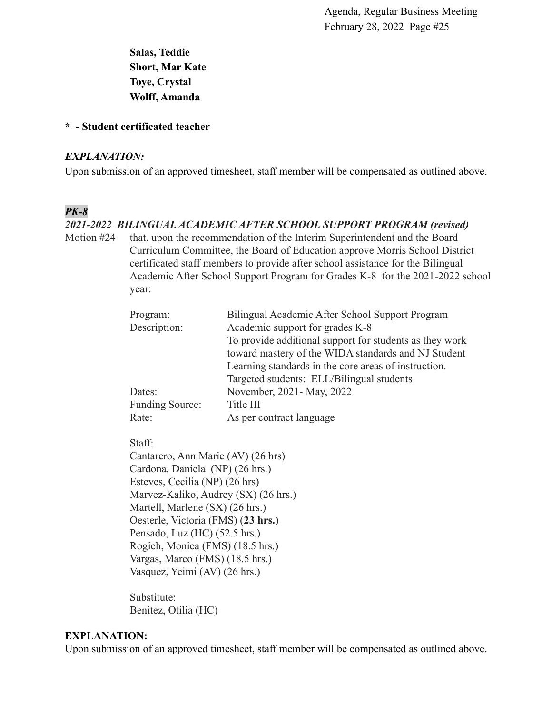**Salas, Teddie Short, Mar Kate Toye, Crystal Wolff, Amanda**

#### **\* - Student certificated teacher**

#### *EXPLANATION:*

Upon submission of an approved timesheet, staff member will be compensated as outlined above.

# *PK-8*

### *2021-2022 BILINGUAL ACADEMIC AFTER SCHOOL SUPPORT PROGRAM (revised)*

Motion #24 that, upon the recommendation of the Interim Superintendent and the Board Curriculum Committee, the Board of Education approve Morris School District certificated staff members to provide after school assistance for the Bilingual Academic After School Support Program for Grades K-8 for the 2021-2022 school year:

| Program:        | Bilingual Academic After School Support Program         |
|-----------------|---------------------------------------------------------|
| Description:    | Academic support for grades K-8                         |
|                 | To provide additional support for students as they work |
|                 | toward mastery of the WIDA standards and NJ Student     |
|                 | Learning standards in the core areas of instruction.    |
|                 | Targeted students: ELL/Bilingual students               |
| Dates:          | November, 2021 - May, 2022                              |
| Funding Source: | Title III                                               |
| Rate:           | As per contract language                                |

Staff:

Cantarero, Ann Marie (AV) (26 hrs) Cardona, Daniela (NP) (26 hrs.) Esteves, Cecilia (NP) (26 hrs) Marvez-Kaliko, Audrey (SX) (26 hrs.) Martell, Marlene (SX) (26 hrs.) Oesterle, Victoria (FMS) (**23 hrs.**) Pensado, Luz (HC) (52.5 hrs.) Rogich, Monica (FMS) (18.5 hrs.) Vargas, Marco (FMS) (18.5 hrs.) Vasquez, Yeimi (AV) (26 hrs.)

Substitute: Benitez, Otilia (HC)

### **EXPLANATION:**

Upon submission of an approved timesheet, staff member will be compensated as outlined above.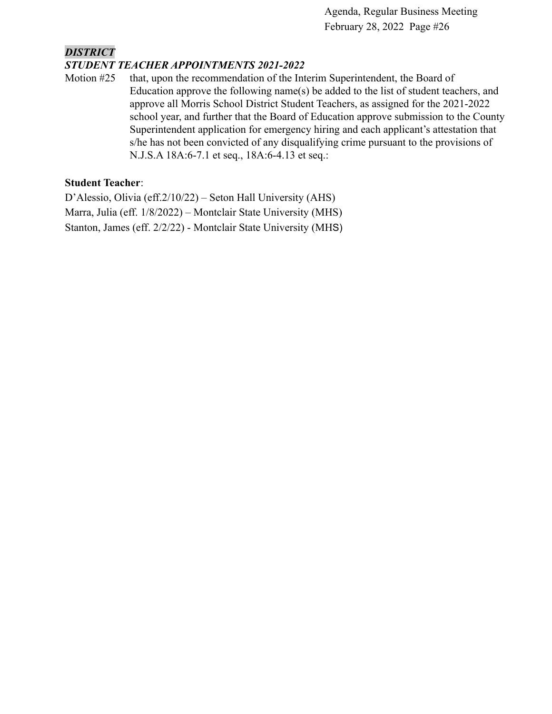# *DISTRICT*

### *STUDENT TEACHER APPOINTMENTS 2021-2022*

Motion #25 that, upon the recommendation of the Interim Superintendent, the Board of Education approve the following name(s) be added to the list of student teachers, and approve all Morris School District Student Teachers, as assigned for the 2021-2022 school year, and further that the Board of Education approve submission to the County Superintendent application for emergency hiring and each applicant's attestation that s/he has not been convicted of any disqualifying crime pursuant to the provisions of N.J.S.A 18A:6-7.1 et seq., 18A:6-4.13 et seq.:

### **Student Teacher**:

D'Alessio, Olivia (eff.2/10/22) – Seton Hall University (AHS) Marra, Julia (eff. 1/8/2022) – Montclair State University (MHS) Stanton, James (eff. 2/2/22) - Montclair State University (MHS)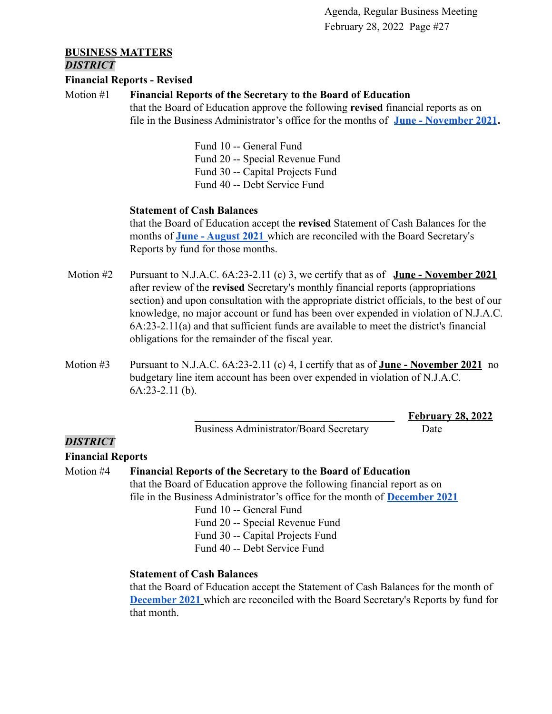\_\_\_\_\_\_\_\_\_\_\_\_\_\_\_\_\_\_\_\_\_\_\_\_\_\_\_\_\_\_\_\_\_\_\_\_\_ **February 28, 2022**

#### **BUSINESS MATTERS** *DISTRICT*

#### **Financial Reports - Revised**

#### Motion #1 **Financial Reports of the Secretary to the Board of Education**

that the Board of Education approve the following **revised** financial reports as on file in the Business Administrator's office for the months of **[June - November 2021](https://drive.google.com/file/d/1kn9jhidP8wEZRKJkgdIXsy2sJCFcPpPF/view?usp=sharing).**

> Fund 10 -- General Fund Fund 20 -- Special Revenue Fund Fund 30 -- Capital Projects Fund Fund 40 -- Debt Service Fund

#### **Statement of Cash Balances**

that the Board of Education accept the **revised** Statement of Cash Balances for the months of **[June - August 2021](https://drive.google.com/file/d/1XitNoN9SBkDmdu4O89nQJ4zz0caJ7Zvv/view?usp=sharing)** which are reconciled with the Board Secretary's Reports by fund for those months.

- Motion #2 Pursuant to N.J.A.C. 6A:23-2.11 (c) 3, we certify that as of **June November 2021** after review of the **revised** Secretary's monthly financial reports (appropriations section) and upon consultation with the appropriate district officials, to the best of our knowledge, no major account or fund has been over expended in violation of N.J.A.C. 6A:23-2.11(a) and that sufficient funds are available to meet the district's financial obligations for the remainder of the fiscal year.
- Motion #3 Pursuant to N.J.A.C. 6A:23-2.11 (c) 4, I certify that as of **June November 2021** no budgetary line item account has been over expended in violation of N.J.A.C. 6A:23-2.11 (b).

Business Administrator/Board Secretary Date

### *DISTRICT*

### **Financial Reports**

Motion #4 **Financial Reports of the Secretary to the Board of Education** that the Board of Education approve the following financial report as on file in the Business Administrator's office for the month of **[December 2021](https://drive.google.com/file/d/1rD9ycRs6f0-NuoowlyfzeDkP2q91ncBh/view?usp=sharing)** Fund 10 -- General Fund Fund 20 -- Special Revenue Fund Fund 30 -- Capital Projects Fund

Fund 40 -- Debt Service Fund

### **Statement of Cash Balances**

that the Board of Education accept the Statement of Cash Balances for the month of **[December 2021](https://drive.google.com/file/d/1-wQhGiY0IvQZ_IO6pdHElWS7GRwC13hK/view?usp=sharing)** which are reconciled with the Board Secretary's Reports by fund for that month.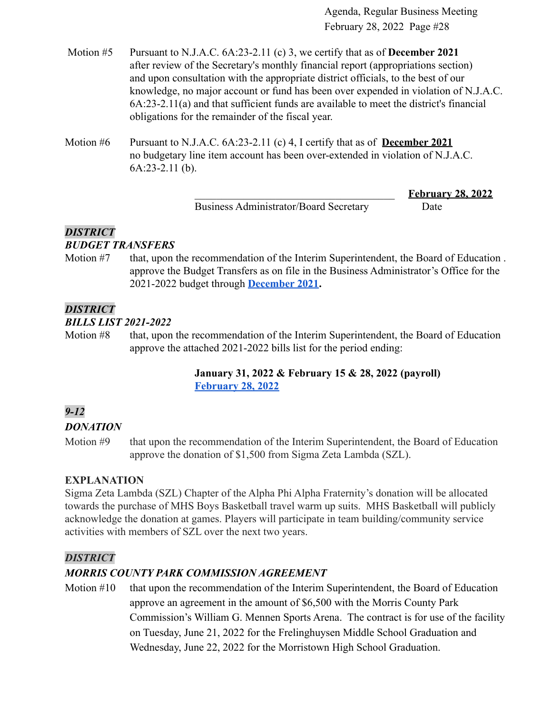- Motion #5 Pursuant to N.J.A.C. 6A:23-2.11 (c) 3, we certify that as of **December 2021** after review of the Secretary's monthly financial report (appropriations section) and upon consultation with the appropriate district officials, to the best of our knowledge, no major account or fund has been over expended in violation of N.J.A.C. 6A:23-2.11(a) and that sufficient funds are available to meet the district's financial obligations for the remainder of the fiscal year.
- Motion #6 Pursuant to N.J.A.C. 6A:23-2.11 (c) 4, I certify that as of **December 2021** no budgetary line item account has been over-extended in violation of N.J.A.C. 6A:23-2.11 (b).

Business Administrator/Board Secretary Date

\_\_\_\_\_\_\_\_\_\_\_\_\_\_\_\_\_\_\_\_\_\_\_\_\_\_\_\_\_\_\_\_\_\_\_\_\_ **February 28, 2022**

# *DISTRICT*

# *BUDGET TRANSFERS*

Motion #7 that, upon the recommendation of the Interim Superintendent, the Board of Education . approve the Budget Transfers as on file in the Business Administrator's Office for the 2021-2022 budget through **[December 2021.](https://drive.google.com/file/d/1AA5bqmL92_AGreREc1emtVuuR1mLGVcc/view?usp=sharing)**

# *DISTRICT*

### *BILLS LIST 2021-2022*

Motion #8 that, upon the recommendation of the Interim Superintendent, the Board of Education approve the attached 2021-2022 bills list for the period ending:

# **January 31, 2022 & February 15 & 28, 2022 (payroll) [February 28,](https://drive.google.com/file/d/1YvNgJbf9D4QH41UrHgznSSleiTJUnJaJ/view?usp=sharing) 2022**

# *9-12*

# *DONATION*

Motion #9 that upon the recommendation of the Interim Superintendent, the Board of Education approve the donation of \$1,500 from Sigma Zeta Lambda (SZL).

# **EXPLANATION**

Sigma Zeta Lambda (SZL) Chapter of the Alpha Phi Alpha Fraternity's donation will be allocated towards the purchase of MHS Boys Basketball travel warm up suits. MHS Basketball will publicly acknowledge the donation at games. Players will participate in team building/community service activities with members of SZL over the next two years.

### *DISTRICT*

# *MORRIS COUNTY PARK COMMISSION AGREEMENT*

Motion #10 that upon the recommendation of the Interim Superintendent, the Board of Education approve an agreement in the amount of \$6,500 with the Morris County Park Commission's William G. Mennen Sports Arena. The contract is for use of the facility on Tuesday, June 21, 2022 for the Frelinghuysen Middle School Graduation and Wednesday, June 22, 2022 for the Morristown High School Graduation.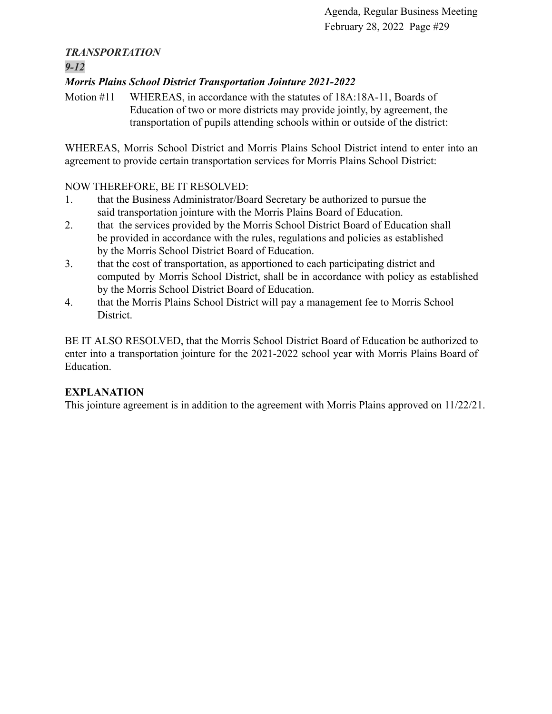# *TRANSPORTATION*

# *9-12*

# *Morris Plains School District Transportation Jointure 2021-2022*

Motion #11 WHEREAS, in accordance with the statutes of 18A:18A-11, Boards of Education of two or more districts may provide jointly, by agreement, the transportation of pupils attending schools within or outside of the district:

WHEREAS, Morris School District and Morris Plains School District intend to enter into an agreement to provide certain transportation services for Morris Plains School District:

# NOW THEREFORE, BE IT RESOLVED:

- 1. that the Business Administrator/Board Secretary be authorized to pursue the said transportation jointure with the Morris Plains Board of Education.
- 2. that the services provided by the Morris School District Board of Education shall be provided in accordance with the rules, regulations and policies as established by the Morris School District Board of Education.
- 3. that the cost of transportation, as apportioned to each participating district and computed by Morris School District, shall be in accordance with policy as established by the Morris School District Board of Education.
- 4. that the Morris Plains School District will pay a management fee to Morris School District.

BE IT ALSO RESOLVED, that the Morris School District Board of Education be authorized to enter into a transportation jointure for the 2021-2022 school year with Morris Plains Board of Education.

# **EXPLANATION**

This jointure agreement is in addition to the agreement with Morris Plains approved on 11/22/21.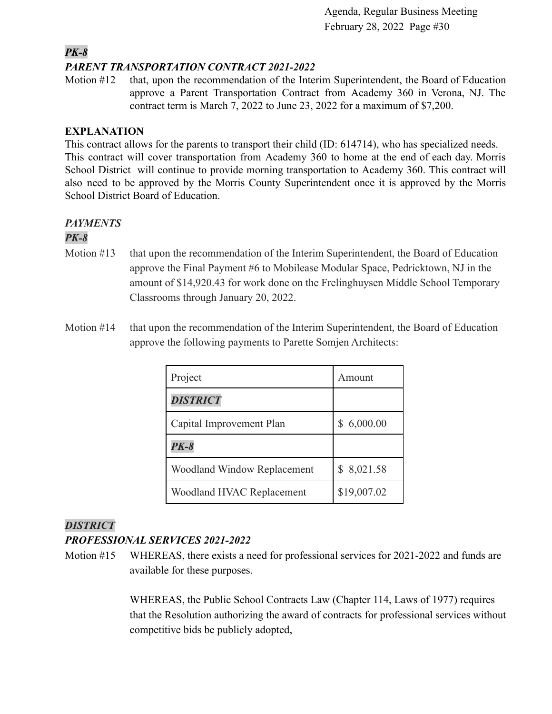# *PK-8*

### *PARENT TRANSPORTATION CONTRACT 2021-2022*

Motion #12 that, upon the recommendation of the Interim Superintendent, the Board of Education approve a Parent Transportation Contract from Academy 360 in Verona, NJ. The contract term is March 7, 2022 to June 23, 2022 for a maximum of \$7,200.

### **EXPLANATION**

This contract allows for the parents to transport their child (ID: 614714), who has specialized needs. This contract will cover transportation from Academy 360 to home at the end of each day. Morris School District will continue to provide morning transportation to Academy 360. This contract will also need to be approved by the Morris County Superintendent once it is approved by the Morris School District Board of Education.

# *PAYMENTS*

# *PK-8*

- Motion #13 that upon the recommendation of the Interim Superintendent, the Board of Education approve the Final Payment #6 to Mobilease Modular Space, Pedricktown, NJ in the amount of \$14,920.43 for work done on the Frelinghuysen Middle School Temporary Classrooms through January 20, 2022.
- Motion #14 that upon the recommendation of the Interim Superintendent, the Board of Education approve the following payments to Parette Somjen Architects:

| Project                     | Amount      |
|-----------------------------|-------------|
| <b>DISTRICT</b>             |             |
| Capital Improvement Plan    | 6,000.00    |
| $PK-8$                      |             |
| Woodland Window Replacement | 8,021.58    |
| Woodland HVAC Replacement   | \$19,007.02 |

# *DISTRICT*

# *PROFESSIONAL SERVICES 2021-2022*

Motion #15 WHEREAS, there exists a need for professional services for 2021-2022 and funds are available for these purposes.

> WHEREAS, the Public School Contracts Law (Chapter 114, Laws of 1977) requires that the Resolution authorizing the award of contracts for professional services without competitive bids be publicly adopted,